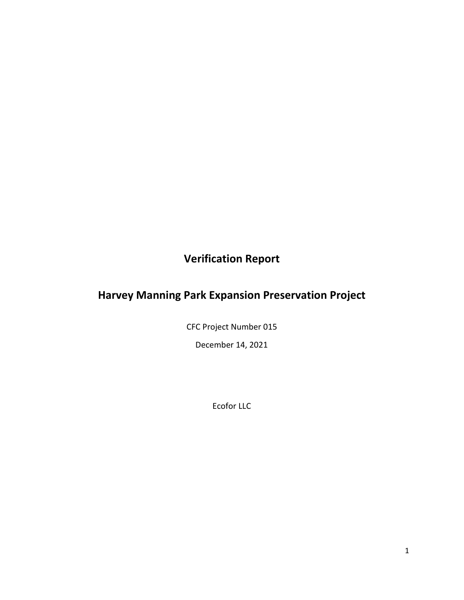**Verification Report**

# **Harvey Manning Park Expansion Preservation Project**

CFC Project Number 015

December 14, 2021

Ecofor LLC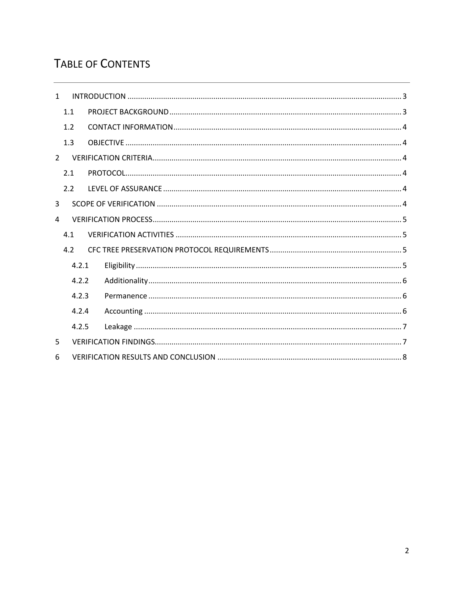# TABLE OF CONTENTS

| $\mathbf{1}$   |                |  |  |  |  |  |  |  |
|----------------|----------------|--|--|--|--|--|--|--|
|                | 1.1            |  |  |  |  |  |  |  |
|                | 1.2            |  |  |  |  |  |  |  |
|                | 1.3            |  |  |  |  |  |  |  |
| $\overline{2}$ |                |  |  |  |  |  |  |  |
|                | 2.1            |  |  |  |  |  |  |  |
|                | 2.2            |  |  |  |  |  |  |  |
| 3              |                |  |  |  |  |  |  |  |
| 4              |                |  |  |  |  |  |  |  |
|                | 4.1            |  |  |  |  |  |  |  |
|                | 4.2            |  |  |  |  |  |  |  |
|                | 4.2.1          |  |  |  |  |  |  |  |
|                | 4.2.2<br>4.2.3 |  |  |  |  |  |  |  |
|                |                |  |  |  |  |  |  |  |
|                | 4.2.4          |  |  |  |  |  |  |  |
|                | 4.2.5          |  |  |  |  |  |  |  |
| 5              |                |  |  |  |  |  |  |  |
| 6              |                |  |  |  |  |  |  |  |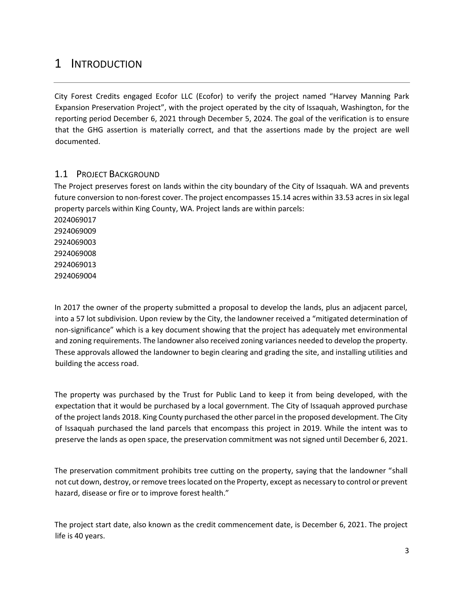# <span id="page-2-0"></span>1 INTRODUCTION

City Forest Credits engaged Ecofor LLC (Ecofor) to verify the project named "Harvey Manning Park Expansion Preservation Project", with the project operated by the city of Issaquah, Washington, for the reporting period December 6, 2021 through December 5, 2024. The goal of the verification is to ensure that the GHG assertion is materially correct, and that the assertions made by the project are well documented.

### <span id="page-2-1"></span>1.1 PROJECT BACKGROUND

The Project preserves forest on lands within the city boundary of the City of Issaquah. WA and prevents future conversion to non-forest cover. The project encompasses 15.14 acres within 33.53 acres in six legal property parcels within King County, WA. Project lands are within parcels:

In 2017 the owner of the property submitted a proposal to develop the lands, plus an adjacent parcel, into a 57 lot subdivision. Upon review by the City, the landowner received a "mitigated determination of non-significance" which is a key document showing that the project has adequately met environmental and zoning requirements. The landowner also received zoning variances needed to develop the property. These approvals allowed the landowner to begin clearing and grading the site, and installing utilities and building the access road.

The property was purchased by the Trust for Public Land to keep it from being developed, with the expectation that it would be purchased by a local government. The City of Issaquah approved purchase of the project lands 2018. King County purchased the other parcel in the proposed development. The City of Issaquah purchased the land parcels that encompass this project in 2019. While the intent was to preserve the lands as open space, the preservation commitment was not signed until December 6, 2021.

The preservation commitment prohibits tree cutting on the property, saying that the landowner "shall not cut down, destroy, or remove trees located on the Property, except as necessary to control or prevent hazard, disease or fire or to improve forest health."

The project start date, also known as the credit commencement date, is December 6, 2021. The project life is 40 years.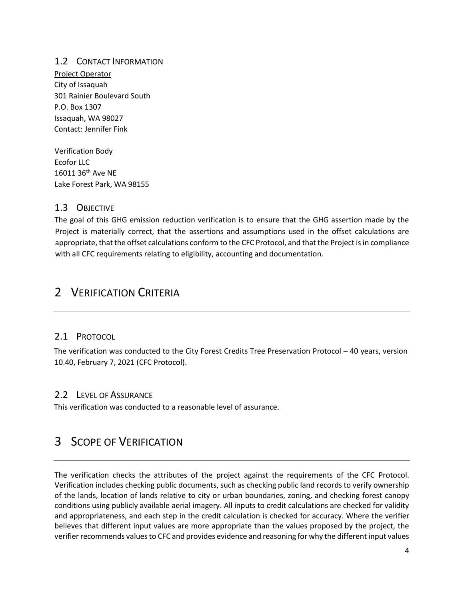### <span id="page-3-0"></span>1.2 CONTACT INFORMATION

Project Operator City of Issaquah 301 Rainier Boulevard South P.O. Box 1307 Issaquah, WA 98027 Contact: Jennifer Fink

Verification Body Ecofor LLC 16011 36th Ave NE Lake Forest Park, WA 98155

### <span id="page-3-1"></span>1.3 OBJECTIVE

The goal of this GHG emission reduction verification is to ensure that the GHG assertion made by the Project is materially correct, that the assertions and assumptions used in the offset calculations are appropriate, that the offset calculations conform to the CFC Protocol, and that the Project is in compliance with all CFC requirements relating to eligibility, accounting and documentation.

## <span id="page-3-2"></span>2 VERIFICATION CRITERIA

#### <span id="page-3-3"></span>2.1 PROTOCOL

The verification was conducted to the City Forest Credits Tree Preservation Protocol – 40 years, version 10.40, February 7, 2021 (CFC Protocol).

### <span id="page-3-4"></span>2.2 LEVEL OF ASSURANCE

This verification was conducted to a reasonable level of assurance.

## <span id="page-3-5"></span>3 SCOPE OF VERIFICATION

The verification checks the attributes of the project against the requirements of the CFC Protocol. Verification includes checking public documents, such as checking public land records to verify ownership of the lands, location of lands relative to city or urban boundaries, zoning, and checking forest canopy conditions using publicly available aerial imagery. All inputs to credit calculations are checked for validity and appropriateness, and each step in the credit calculation is checked for accuracy. Where the verifier believes that different input values are more appropriate than the values proposed by the project, the verifier recommends values to CFC and provides evidence and reasoning for why the different input values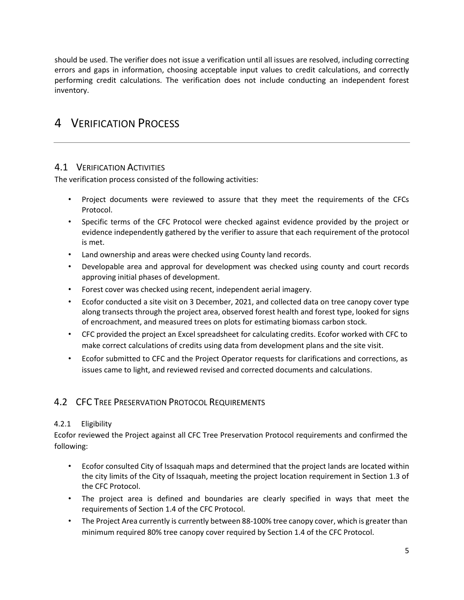should be used. The verifier does not issue a verification until all issues are resolved, including correcting errors and gaps in information, choosing acceptable input values to credit calculations, and correctly performing credit calculations. The verification does not include conducting an independent forest inventory.

# <span id="page-4-0"></span>4 VERIFICATION PROCESS

### <span id="page-4-1"></span>4.1 VERIFICATION ACTIVITIES

The verification process consisted of the following activities:

- Project documents were reviewed to assure that they meet the requirements of the CFCs Protocol.
- Specific terms of the CFC Protocol were checked against evidence provided by the project or evidence independently gathered by the verifier to assure that each requirement of the protocol is met.
- Land ownership and areas were checked using County land records.
- Developable area and approval for development was checked using county and court records approving initial phases of development.
- Forest cover was checked using recent, independent aerial imagery.
- Ecofor conducted a site visit on 3 December, 2021, and collected data on tree canopy cover type along transects through the project area, observed forest health and forest type, looked for signs of encroachment, and measured trees on plots for estimating biomass carbon stock.
- CFC provided the project an Excel spreadsheet for calculating credits. Ecofor worked with CFC to make correct calculations of credits using data from development plans and the site visit.
- Ecofor submitted to CFC and the Project Operator requests for clarifications and corrections, as issues came to light, and reviewed revised and corrected documents and calculations.

### <span id="page-4-2"></span>4.2 CFC TREE PRESERVATION PROTOCOL REQUIREMENTS

#### <span id="page-4-3"></span>4.2.1 Eligibility

Ecofor reviewed the Project against all CFC Tree Preservation Protocol requirements and confirmed the following:

- Ecofor consulted City of Issaquah maps and determined that the project lands are located within the city limits of the City of Issaquah, meeting the project location requirement in Section 1.3 of the CFC Protocol.
- The project area is defined and boundaries are clearly specified in ways that meet the requirements of Section 1.4 of the CFC Protocol.
- The Project Area currently is currently between 88-100% tree canopy cover, which is greater than minimum required 80% tree canopy cover required by Section 1.4 of the CFC Protocol.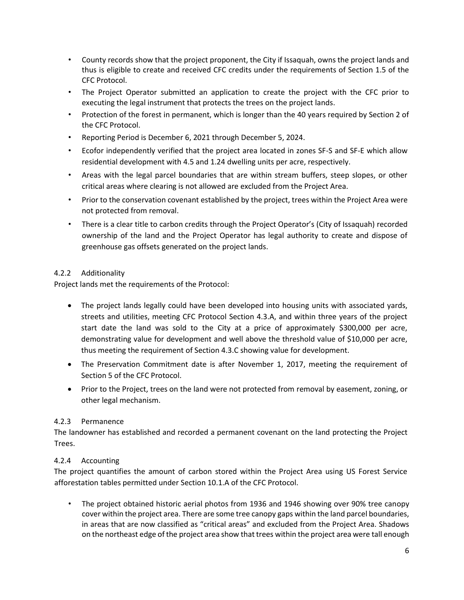- County records show that the project proponent, the City if Issaquah, owns the project lands and thus is eligible to create and received CFC credits under the requirements of Section 1.5 of the CFC Protocol.
- The Project Operator submitted an application to create the project with the CFC prior to executing the legal instrument that protects the trees on the project lands.
- Protection of the forest in permanent, which is longer than the 40 years required by Section 2 of the CFC Protocol.
- Reporting Period is December 6, 2021 through December 5, 2024.
- Ecofor independently verified that the project area located in zones SF-S and SF-E which allow residential development with 4.5 and 1.24 dwelling units per acre, respectively.
- Areas with the legal parcel boundaries that are within stream buffers, steep slopes, or other critical areas where clearing is not allowed are excluded from the Project Area.
- Prior to the conservation covenant established by the project, trees within the Project Area were not protected from removal.
- There is a clear title to carbon credits through the Project Operator's (City of Issaquah) recorded ownership of the land and the Project Operator has legal authority to create and dispose of greenhouse gas offsets generated on the project lands.

#### <span id="page-5-0"></span>4.2.2 Additionality

Project lands met the requirements of the Protocol:

- The project lands legally could have been developed into housing units with associated yards, streets and utilities, meeting CFC Protocol Section 4.3.A, and within three years of the project start date the land was sold to the City at a price of approximately \$300,000 per acre, demonstrating value for development and well above the threshold value of \$10,000 per acre, thus meeting the requirement of Section 4.3.C showing value for development.
- The Preservation Commitment date is after November 1, 2017, meeting the requirement of Section 5 of the CFC Protocol.
- Prior to the Project, trees on the land were not protected from removal by easement, zoning, or other legal mechanism.

#### <span id="page-5-1"></span>4.2.3 Permanence

The landowner has established and recorded a permanent covenant on the land protecting the Project Trees.

#### <span id="page-5-2"></span>4.2.4 Accounting

The project quantifies the amount of carbon stored within the Project Area using US Forest Service afforestation tables permitted under Section 10.1.A of the CFC Protocol.

• The project obtained historic aerial photos from 1936 and 1946 showing over 90% tree canopy cover within the project area. There are some tree canopy gaps within the land parcel boundaries, in areas that are now classified as "critical areas" and excluded from the Project Area. Shadows on the northeast edge of the project area show that trees within the project area were tall enough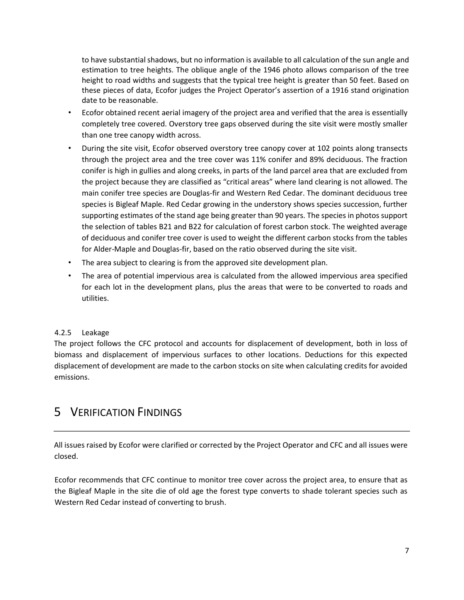to have substantial shadows, but no information is available to all calculation of the sun angle and estimation to tree heights. The oblique angle of the 1946 photo allows comparison of the tree height to road widths and suggests that the typical tree height is greater than 50 feet. Based on these pieces of data, Ecofor judges the Project Operator's assertion of a 1916 stand origination date to be reasonable.

- Ecofor obtained recent aerial imagery of the project area and verified that the area is essentially completely tree covered. Overstory tree gaps observed during the site visit were mostly smaller than one tree canopy width across.
- During the site visit, Ecofor observed overstory tree canopy cover at 102 points along transects through the project area and the tree cover was 11% conifer and 89% deciduous. The fraction conifer is high in gullies and along creeks, in parts of the land parcel area that are excluded from the project because they are classified as "critical areas" where land clearing is not allowed. The main conifer tree species are Douglas-fir and Western Red Cedar. The dominant deciduous tree species is Bigleaf Maple. Red Cedar growing in the understory shows species succession, further supporting estimates of the stand age being greater than 90 years. The species in photos support the selection of tables B21 and B22 for calculation of forest carbon stock. The weighted average of deciduous and conifer tree cover is used to weight the different carbon stocks from the tables for Alder-Maple and Douglas-fir, based on the ratio observed during the site visit.
- The area subject to clearing is from the approved site development plan.
- The area of potential impervious area is calculated from the allowed impervious area specified for each lot in the development plans, plus the areas that were to be converted to roads and utilities.

#### <span id="page-6-0"></span>4.2.5 Leakage

The project follows the CFC protocol and accounts for displacement of development, both in loss of biomass and displacement of impervious surfaces to other locations. Deductions for this expected displacement of development are made to the carbon stocks on site when calculating credits for avoided emissions.

## <span id="page-6-1"></span>5 VERIFICATION FINDINGS

All issues raised by Ecofor were clarified or corrected by the Project Operator and CFC and all issues were closed.

Ecofor recommends that CFC continue to monitor tree cover across the project area, to ensure that as the Bigleaf Maple in the site die of old age the forest type converts to shade tolerant species such as Western Red Cedar instead of converting to brush.